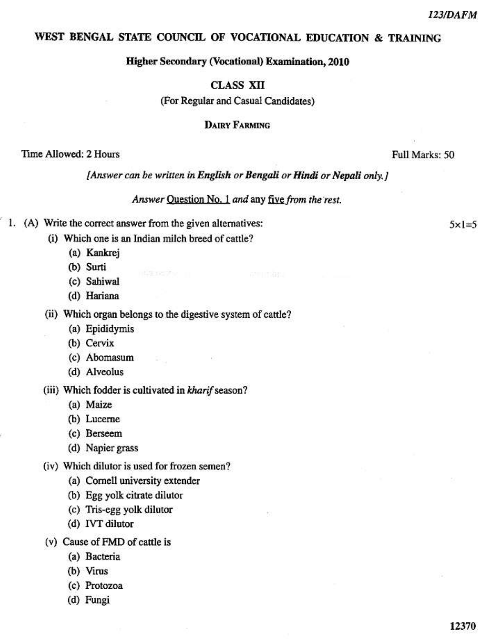$5x = 5$ 

### WEST BENGAL STATE COUNCIL OF VOCATIONAL EDUCATION & TRAINING

#### **Higher Secondary (Vocational) Examination, 2010**

## **CLASS XII**

(For Regular and Casual Candidates)

### **DAIRY FARMING**

### Time Allowed: 2 Hours

Full Marks: 50

[Answer can be written in English or Bengali or Hindi or Nepali only, ]

Answer Question No. 1 and any five from the rest.

- 1. (A) Write the correct answer from the given alternatives:
	- (i) Which one is an Indian milch breed of cattle?

at the people

- (a) Kankrej
- (b) Surti
- (c) Sahiwal
- (d) Hariana

#### (ii) Which organ belongs to the digestive system of cattle?

- (a) Epididymis
- (b) Cervix
- (c) Abomasum
- (d) Alveolus

#### (iii) Which fodder is cultivated in kharif season?

- (a) Maize
- (b) Lucerne
- (c) Berseem
- (d) Napier grass
- (iv) Which dilutor is used for frozen semen?
	- (a) Cornell university extender
	- (b) Egg yolk citrate dilutor
	- (c) Tris-egg yolk dilutor
	- (d) IVT dilutor
- (v) Cause of FMD of cattle is
	- (a) Bacteria
	- (b) Virus
	- (c) Protozoa
	- (d) Fungi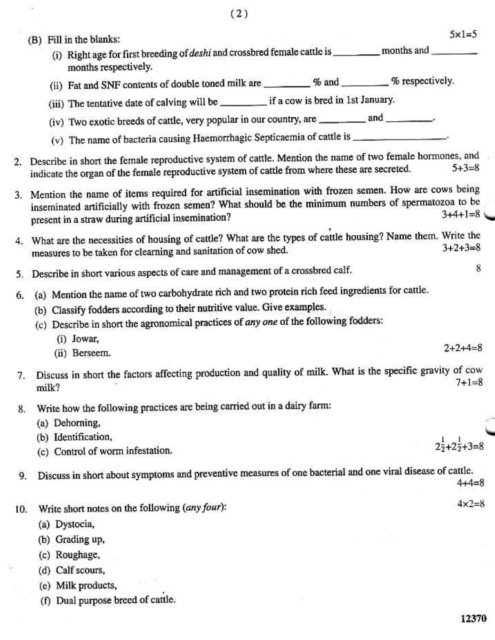|     | $5x1=5$<br>(B) Fill in the blanks:                                                                                                                                                                                                                                                |  |  |  |
|-----|-----------------------------------------------------------------------------------------------------------------------------------------------------------------------------------------------------------------------------------------------------------------------------------|--|--|--|
|     | (i) Right age for first breeding of <i>deshi</i> and crossbred female cattle is __________ months and _________<br>months respectively.                                                                                                                                           |  |  |  |
|     | (ii) Fat and SNF contents of double toned milk are ________ % and ______ % respectively.                                                                                                                                                                                          |  |  |  |
|     | (iii) The tentative date of calving will be _________ if a cow is bred in 1st January.                                                                                                                                                                                            |  |  |  |
|     | (iv) Two exotic breeds of cattle, very popular in our country, are _________ and _______.                                                                                                                                                                                         |  |  |  |
|     | (v) The name of bacteria causing Haemorrhagic Septicaemia of cattle is ___________________.                                                                                                                                                                                       |  |  |  |
|     | 2. Describe in short the female reproductive system of cattle. Mention the name of two female hormones, and<br>$5 + 3 = 8$<br>indicate the organ of the female reproductive system of cattle from where these are secreted.                                                       |  |  |  |
|     | 3. Mention the name of items required for artificial insemination with frozen semen. How are cows being<br>inseminated artificially with frozen semen? What should be the minimum numbers of spermatozoa to be<br>$3+4+1=8$<br>present in a straw during artificial insemination? |  |  |  |
|     | 4. What are the necessities of housing of cattle? What are the types of cattle housing? Name them. Write the<br>$3 + 2 + 3 = 8$<br>measures to be taken for clearning and sanitation of cow shed.                                                                                 |  |  |  |
| 5.  | 8<br>Describe in short various aspects of care and management of a crossbred calf.                                                                                                                                                                                                |  |  |  |
| 6.  | (a) Mention the name of two carbohydrate rich and two protein rich feed ingredients for cattle.                                                                                                                                                                                   |  |  |  |
|     | (b) Classify fodders according to their nutritive value. Give examples.                                                                                                                                                                                                           |  |  |  |
|     | (c) Describe in short the agronomical practices of any one of the following fodders:                                                                                                                                                                                              |  |  |  |
|     | (i) Jowar,                                                                                                                                                                                                                                                                        |  |  |  |
|     | $2+2+4=8$<br>(ii) Berseem.                                                                                                                                                                                                                                                        |  |  |  |
|     | 7. Discuss in short the factors affecting production and quality of milk. What is the specific gravity of cow<br>$7 + 1 = 8$<br>milk?                                                                                                                                             |  |  |  |
| 8.  | Write how the following practices are being carried out in a dairy farm:                                                                                                                                                                                                          |  |  |  |
|     | (a) Dehorning,                                                                                                                                                                                                                                                                    |  |  |  |
|     | (b) Identification,                                                                                                                                                                                                                                                               |  |  |  |
|     | (c) Control of worm infestation.                                                                                                                                                                                                                                                  |  |  |  |
| 9.  | Discuss in short about symptoms and preventive measures of one bacterial and one viral disease of cattle.<br>$4 + 4 = 8$                                                                                                                                                          |  |  |  |
| 10. | $4 \times 2 = 8$<br>Write short notes on the following (any four):                                                                                                                                                                                                                |  |  |  |
|     | (a) Dystocia,                                                                                                                                                                                                                                                                     |  |  |  |
|     | (b) Grading up,                                                                                                                                                                                                                                                                   |  |  |  |
|     | (c) Roughage,                                                                                                                                                                                                                                                                     |  |  |  |
|     | (d) Calf scours,                                                                                                                                                                                                                                                                  |  |  |  |

(e) Milk products,

 $\sim$ 

 $\mathbb{R}^2$ 

(f) Dual purpose breed of cattle.

 $\mathcal{R} \cup \mathcal{R}$ 

12370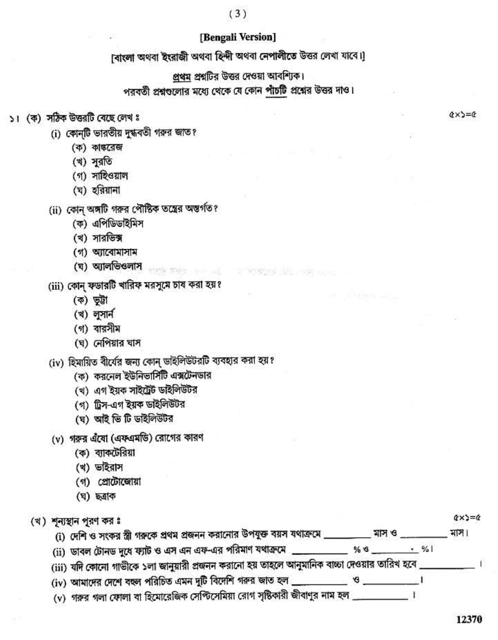# [Bengali Version]

 $(3)$ 

[বাংলা অথবা ইংরাজী অথবা হিন্দী অথবা নেপালীতে উত্তর লেখা যাবে।]

প্রথম প্রশ্নটির উত্তর দেওয়া আবশ্যিক। পরবর্তী প্রশ্নগুলোর মধ্যে থেকে যে কোন পাঁচটি প্রশ্নের উত্তর দাও।

 $2$  **Kissans**  $22$  and

- ১। (ক) সঠিক উত্তরটি বেছে লেখ ঃ
	- (i) কোনটি ভারতীয় দুগ্ধবতী গরুর জাত?
		- (ক) কাঙ্করেজ
		- (খ) সুরতি
		- (গ) সাহিওয়াল
		- (ঘ) হরিয়ানা
	- (ii) কোন্ অঙ্গটি গরুর পৌষ্টিক তন্ত্রের অন্তর্গত?
		- (ক) এপিডিডাইমিস
		- (খ) সারভিক্স
		- (গ) অ্যাবোমাসাম
		- (ঘ) অ্যালভিওলাস
	- (iii) কোন্ ফডারটি খারিফ মরসুমে চাষ করা হয়?
		- (ক) ভূট্টা
		- (খ) লুসার্ন
		- (গ) বারসীম
		- (ঘ) নেপিয়ার ঘাস

(iv) হিমায়িত বীর্যের জন্য কোন্ ডাইলিউটরটি ব্যবহার করা হয়?

张轩 医细胞 计命令函数

- (ক) করনেল ইউনিভার্সিটি এক্সটেনডার
- (খ) এগ ইয়ক সাইট্রেট ডাইলিউটর
- (গ) ট্রিস-এগ ইয়ক ডাইলিউটর
- (ঘ) আই ভি টি ডাইলিউটর
- (v) গরুর এঁষো (এফএমডি) রোগের কারণ
	- (ক) ব্যাকটেরিয়া
	- (খ) ভাইরাস
	- (গ) প্রোটোজোয়া
	- (ঘ) ছত্ৰাক

| (খ) শূন্যস্থান পূরণ কর ঃ                                                                     |                                                                                             |   | $\alpha \times \alpha = \alpha$ |
|----------------------------------------------------------------------------------------------|---------------------------------------------------------------------------------------------|---|---------------------------------|
| (i) দেশি ও সংকর স্ত্রী গরুকে প্রথম প্রজনন করানোর উপযুক্ত বয়স যথাক্রমে                       | মাস ও                                                                                       |   | মাস।                            |
| (ii) ডাবল টোনড দুধে ফ্যাট ও এস এন এফ-এর পরিমাণ যথাক্রমে __                                   | % S                                                                                         | % |                                 |
| (iii) যদি কোনো গাভীকে ১লা জানুয়ারী প্রজনন করানো হয় তাহলে আনুমানিক বাচ্চা দেওয়ার তারিখ হবে |                                                                                             |   |                                 |
| (iv) আমাদের দেশে বছল পরিচিত এমন দুটি বিদেশি গরুর জাত হল _                                    | $\mathbf{B}^{\prime\prime}$ and $\mathbf{B}^{\prime\prime}$ and $\mathbf{B}^{\prime\prime}$ |   |                                 |

(v) গরুর গলা ফোলা বা হিমোরেজিক সেপ্টিসেমিয়া রোগ সৃষ্টিকারী জীবাণুর নাম হল \_\_\_\_\_\_\_\_\_\_\_\_\_।

 $Q \times S = Q$